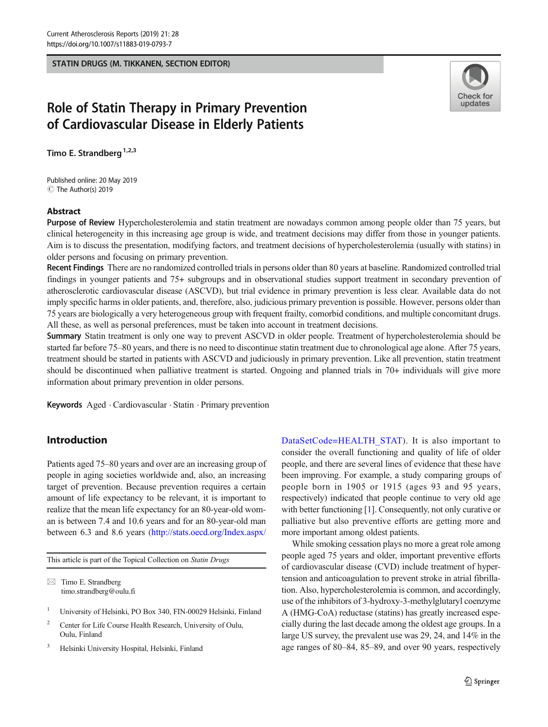STATIN DRUGS (M. TIKKANEN, SECTION EDITOR)

# Role of Statin Therapy in Primary Prevention of Cardiovascular Disease in Elderly Patients

Timo E. Strandberg  $1,2,3$ 

Published online: 20 May 2019  $\circledcirc$  The Author(s) 2019

## Abstract



Purpose of Review Hypercholesterolemia and statin treatment are nowadays common among people older than 75 years, but clinical heterogeneity in this increasing age group is wide, and treatment decisions may differ from those in younger patients. Aim is to discuss the presentation, modifying factors, and treatment decisions of hypercholesterolemia (usually with statins) in older persons and focusing on primary prevention.

Recent Findings There are no randomized controlled trials in persons older than 80 years at baseline. Randomized controlled trial findings in younger patients and 75+ subgroups and in observational studies support treatment in secondary prevention of atherosclerotic cardiovascular disease (ASCVD), but trial evidence in primary prevention is less clear. Available data do not imply specific harms in older patients, and, therefore, also, judicious primary prevention is possible. However, persons older than 75 years are biologically a very heterogeneous group with frequent frailty, comorbid conditions, and multiple concomitant drugs. All these, as well as personal preferences, must be taken into account in treatment decisions.

Summary Statin treatment is only one way to prevent ASCVD in older people. Treatment of hypercholesterolemia should be started far before 75–80 years, and there is no need to discontinue statin treatment due to chronological age alone. After 75 years, treatment should be started in patients with ASCVD and judiciously in primary prevention. Like all prevention, statin treatment should be discontinued when palliative treatment is started. Ongoing and planned trials in 70+ individuals will give more information about primary prevention in older persons.

Keywords Aged . Cardiovascular . Statin . Primary prevention

# Introduction

Patients aged 75–80 years and over are an increasing group of people in aging societies worldwide and, also, an increasing target of prevention. Because prevention requires a certain amount of life expectancy to be relevant, it is important to realize that the mean life expectancy for an 80-year-old woman is between 7.4 and 10.6 years and for an 80-year-old man between 6.3 and 8.6 years ([http://stats.oecd.org/Index.aspx/](http://stats.oecd.org/Index.aspx/DataSetCode=HEALTH_STAT)

This article is part of the Topical Collection on Statin Drugs

 $\boxtimes$  Timo E. Strandberg [timo.strandberg@oulu.fi](mailto:timo.strandberg@oulu.fi)

- <sup>1</sup> University of Helsinki, PO Box 340, FIN-00029 Helsinki, Finland
- <sup>2</sup> Center for Life Course Health Research, University of Oulu, Oulu, Finland
- <sup>3</sup> Helsinki University Hospital, Helsinki, Finland

[DataSetCode=HEALTH\\_STAT\)](http://stats.oecd.org/Index.aspx/DataSetCode=HEALTH_STAT). It is also important to consider the overall functioning and quality of life of older people, and there are several lines of evidence that these have been improving. For example, a study comparing groups of people born in 1905 or 1915 (ages 93 and 95 years, respectively) indicated that people continue to very old age with better functioning [\[1](#page-5-0)]. Consequently, not only curative or palliative but also preventive efforts are getting more and more important among oldest patients.

While smoking cessation plays no more a great role among people aged 75 years and older, important preventive efforts of cardiovascular disease (CVD) include treatment of hypertension and anticoagulation to prevent stroke in atrial fibrillation. Also, hypercholesterolemia is common, and accordingly, use of the inhibitors of 3-hydroxy-3-methylglutaryl coenzyme A (HMG-CoA) reductase (statins) has greatly increased especially during the last decade among the oldest age groups. In a large US survey, the prevalent use was 29, 24, and 14% in the age ranges of 80–84, 85–89, and over 90 years, respectively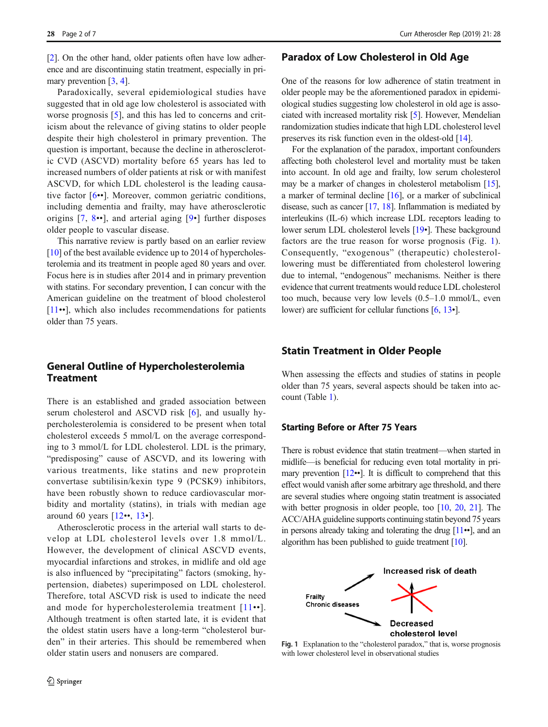[\[2](#page-5-0)]. On the other hand, older patients often have low adherence and are discontinuing statin treatment, especially in pri-mary prevention [[3,](#page-5-0) [4\]](#page-5-0).

Paradoxically, several epidemiological studies have suggested that in old age low cholesterol is associated with worse prognosis [[5\]](#page-5-0), and this has led to concerns and criticism about the relevance of giving statins to older people despite their high cholesterol in primary prevention. The question is important, because the decline in atherosclerotic CVD (ASCVD) mortality before 65 years has led to increased numbers of older patients at risk or with manifest ASCVD, for which LDL cholesterol is the leading causative factor [\[6](#page-5-0)••]. Moreover, common geriatric conditions, including dementia and frailty, may have atherosclerotic origins [\[7,](#page-5-0) [8](#page-5-0)••], and arterial aging [\[9](#page-5-0)•] further disposes older people to vascular disease.

This narrative review is partly based on an earlier review [\[10\]](#page-5-0) of the best available evidence up to 2014 of hypercholesterolemia and its treatment in people aged 80 years and over. Focus here is in studies after 2014 and in primary prevention with statins. For secondary prevention, I can concur with the American guideline on the treatment of blood cholesterol [\[11](#page-5-0)••], which also includes recommendations for patients older than 75 years.

# General Outline of Hypercholesterolemia **Treatment**

There is an established and graded association between serum cholesterol and ASCVD risk [\[6](#page-5-0)], and usually hypercholesterolemia is considered to be present when total cholesterol exceeds 5 mmol/L on the average corresponding to 3 mmol/L for LDL cholesterol. LDL is the primary, "predisposing" cause of ASCVD, and its lowering with various treatments, like statins and new proprotein convertase subtilisin/kexin type 9 (PCSK9) inhibitors, have been robustly shown to reduce cardiovascular morbidity and mortality (statins), in trials with median age around 60 years [\[12](#page-5-0)••, [13](#page-5-0)•].

Atherosclerotic process in the arterial wall starts to develop at LDL cholesterol levels over 1.8 mmol/L. However, the development of clinical ASCVD events, myocardial infarctions and strokes, in midlife and old age is also influenced by "precipitating" factors (smoking, hypertension, diabetes) superimposed on LDL cholesterol. Therefore, total ASCVD risk is used to indicate the need and mode for hypercholesterolemia treatment [[11](#page-5-0)••]. Although treatment is often started late, it is evident that the oldest statin users have a long-term "cholesterol burden" in their arteries. This should be remembered when older statin users and nonusers are compared.

## Paradox of Low Cholesterol in Old Age

One of the reasons for low adherence of statin treatment in older people may be the aforementioned paradox in epidemiological studies suggesting low cholesterol in old age is associated with increased mortality risk [\[5\]](#page-5-0). However, Mendelian randomization studies indicate that high LDL cholesterol level preserves its risk function even in the oldest-old [[14](#page-5-0)].

For the explanation of the paradox, important confounders affecting both cholesterol level and mortality must be taken into account. In old age and frailty, low serum cholesterol may be a marker of changes in cholesterol metabolism [\[15\]](#page-5-0), a marker of terminal decline  $[16]$ , or a marker of subclinical disease, such as cancer [\[17](#page-5-0), [18\]](#page-5-0). Inflammation is mediated by interleukins (IL-6) which increase LDL receptors leading to lower serum LDL cholesterol levels [[19](#page-5-0)•]. These background factors are the true reason for worse prognosis (Fig. 1). Consequently, "exogenous" (therapeutic) cholesterollowering must be differentiated from cholesterol lowering due to internal, "endogenous" mechanisms. Neither is there evidence that current treatments would reduce LDL cholesterol too much, because very low levels (0.5–1.0 mmol/L, even lower) are sufficient for cellular functions  $[6, 13 \cdot]$  $[6, 13 \cdot]$  $[6, 13 \cdot]$  $[6, 13 \cdot]$  $[6, 13 \cdot]$ .

## Statin Treatment in Older People

When assessing the effects and studies of statins in people older than 75 years, several aspects should be taken into account (Table [1](#page-2-0)).

## Starting Before or After 75 Years

There is robust evidence that statin treatment—when started in midlife—is beneficial for reducing even total mortality in primary prevention  $[12\bullet]$  $[12\bullet]$  $[12\bullet]$ . It is difficult to comprehend that this effect would vanish after some arbitrary age threshold, and there are several studies where ongoing statin treatment is associated with better prognosis in older people, too [[10](#page-5-0), [20](#page-5-0), [21\]](#page-5-0). The ACC/AHA guideline supports continuing statin beyond 75 years in persons already taking and tolerating the drug [\[11](#page-5-0)••], and an algorithm has been published to guide treatment [\[10\]](#page-5-0).



Fig. 1 Explanation to the "cholesterol paradox," that is, worse prognosis with lower cholesterol level in observational studies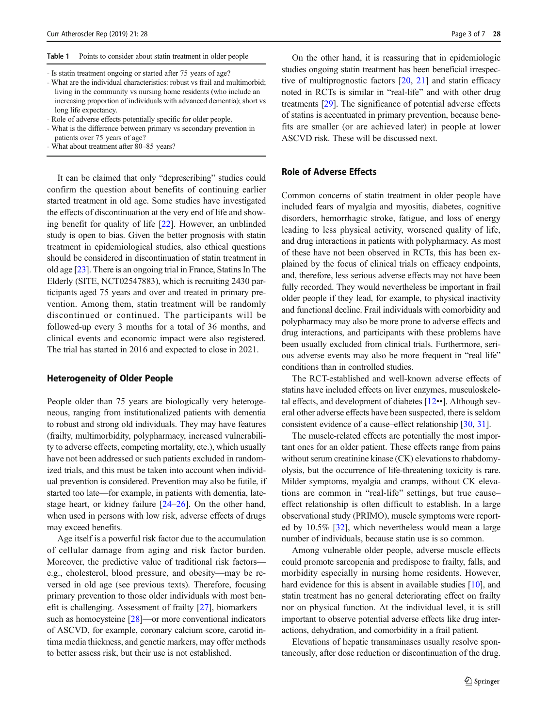#### <span id="page-2-0"></span>Table 1 Points to consider about statin treatment in older people

- Is statin treatment ongoing or started after 75 years of age?

- What are the individual characteristics: robust vs frail and multimorbid; living in the community vs nursing home residents (who include an increasing proportion of individuals with advanced dementia); short vs long life expectancy.
- Role of adverse effects potentially specific for older people. - What is the difference between primary vs secondary prevention in
- patients over 75 years of age?
- What about treatment after 80–85 years?

It can be claimed that only "deprescribing" studies could confirm the question about benefits of continuing earlier started treatment in old age. Some studies have investigated the effects of discontinuation at the very end of life and showing benefit for quality of life [[22](#page-5-0)]. However, an unblinded study is open to bias. Given the better prognosis with statin treatment in epidemiological studies, also ethical questions should be considered in discontinuation of statin treatment in old age [[23\]](#page-5-0). There is an ongoing trial in France, Statins In The Elderly (SITE, NCT02547883), which is recruiting 2430 participants aged 75 years and over and treated in primary prevention. Among them, statin treatment will be randomly discontinued or continued. The participants will be followed-up every 3 months for a total of 36 months, and clinical events and economic impact were also registered. The trial has started in 2016 and expected to close in 2021.

#### Heterogeneity of Older People

People older than 75 years are biologically very heterogeneous, ranging from institutionalized patients with dementia to robust and strong old individuals. They may have features (frailty, multimorbidity, polypharmacy, increased vulnerability to adverse effects, competing mortality, etc.), which usually have not been addressed or such patients excluded in randomized trials, and this must be taken into account when individual prevention is considered. Prevention may also be futile, if started too late—for example, in patients with dementia, latestage heart, or kidney failure [[24](#page-5-0)–[26\]](#page-5-0). On the other hand, when used in persons with low risk, adverse effects of drugs may exceed benefits.

Age itself is a powerful risk factor due to the accumulation of cellular damage from aging and risk factor burden. Moreover, the predictive value of traditional risk factors e.g., cholesterol, blood pressure, and obesity—may be reversed in old age (see previous texts). Therefore, focusing primary prevention to those older individuals with most benefit is challenging. Assessment of frailty [\[27\]](#page-5-0), biomarkers— such as homocysteine [\[28\]](#page-5-0)—or more conventional indicators of ASCVD, for example, coronary calcium score, carotid intima media thickness, and genetic markers, may offer methods to better assess risk, but their use is not established.

On the other hand, it is reassuring that in epidemiologic studies ongoing statin treatment has been beneficial irrespective of multiprognostic factors [\[20](#page-5-0), [21\]](#page-5-0) and statin efficacy noted in RCTs is similar in "real-life" and with other drug treatments [\[29](#page-5-0)]. The significance of potential adverse effects of statins is accentuated in primary prevention, because benefits are smaller (or are achieved later) in people at lower ASCVD risk. These will be discussed next.

## Role of Adverse Effects

Common concerns of statin treatment in older people have included fears of myalgia and myositis, diabetes, cognitive disorders, hemorrhagic stroke, fatigue, and loss of energy leading to less physical activity, worsened quality of life, and drug interactions in patients with polypharmacy. As most of these have not been observed in RCTs, this has been explained by the focus of clinical trials on efficacy endpoints, and, therefore, less serious adverse effects may not have been fully recorded. They would nevertheless be important in frail older people if they lead, for example, to physical inactivity and functional decline. Frail individuals with comorbidity and polypharmacy may also be more prone to adverse effects and drug interactions, and participants with these problems have been usually excluded from clinical trials. Furthermore, serious adverse events may also be more frequent in "real life" conditions than in controlled studies.

The RCT-established and well-known adverse effects of statins have included effects on liver enzymes, musculoskeletal effects, and development of diabetes [[12](#page-5-0)••]. Although several other adverse effects have been suspected, there is seldom consistent evidence of a cause–effect relationship [[30,](#page-6-0) [31](#page-6-0)].

The muscle-related effects are potentially the most important ones for an older patient. These effects range from pains without serum creatinine kinase (CK) elevations to rhabdomyolysis, but the occurrence of life-threatening toxicity is rare. Milder symptoms, myalgia and cramps, without CK elevations are common in "real-life" settings, but true cause– effect relationship is often difficult to establish. In a large observational study (PRIMO), muscle symptoms were reported by 10.5% [\[32\]](#page-6-0), which nevertheless would mean a large number of individuals, because statin use is so common.

Among vulnerable older people, adverse muscle effects could promote sarcopenia and predispose to frailty, falls, and morbidity especially in nursing home residents. However, hard evidence for this is absent in available studies [[10\]](#page-5-0), and statin treatment has no general deteriorating effect on frailty nor on physical function. At the individual level, it is still important to observe potential adverse effects like drug interactions, dehydration, and comorbidity in a frail patient.

Elevations of hepatic transaminases usually resolve spontaneously, after dose reduction or discontinuation of the drug.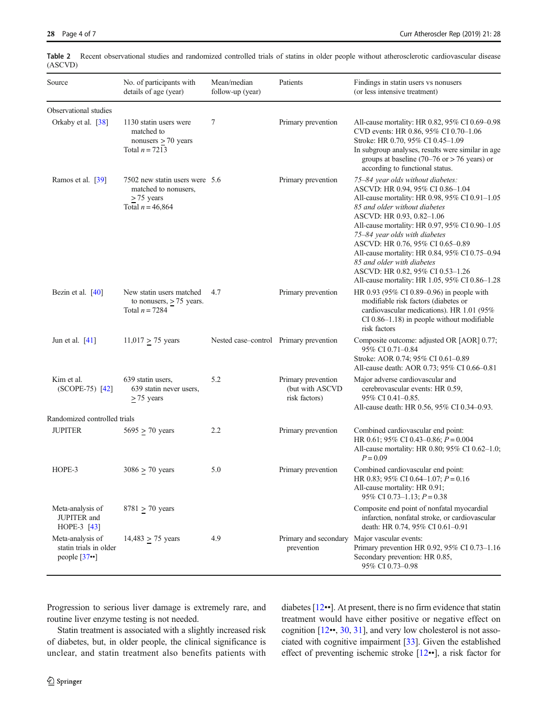| Source                                                           | No. of participants with<br>details of age (year)                                            | Mean/median<br>follow-up (year)        | Patients                                                | Findings in statin users vs nonusers<br>(or less intensive treatment)                                                                                                                                                                                                                                                                                                                                                                                                              |
|------------------------------------------------------------------|----------------------------------------------------------------------------------------------|----------------------------------------|---------------------------------------------------------|------------------------------------------------------------------------------------------------------------------------------------------------------------------------------------------------------------------------------------------------------------------------------------------------------------------------------------------------------------------------------------------------------------------------------------------------------------------------------------|
| Observational studies                                            |                                                                                              |                                        |                                                         |                                                                                                                                                                                                                                                                                                                                                                                                                                                                                    |
| Orkaby et al. [38]                                               | 1130 statin users were<br>matched to<br>nonusers $> 70$ years<br>Total $n = 7213$            | 7                                      | Primary prevention                                      | All-cause mortality: HR 0.82, 95% CI 0.69-0.98<br>CVD events: HR 0.86, 95% CI 0.70-1.06<br>Stroke: HR 0.70, 95% CI 0.45-1.09<br>In subgroup analyses, results were similar in age<br>groups at baseline (70–76 or > 76 years) or<br>according to functional status.                                                                                                                                                                                                                |
| Ramos et al. [39]                                                | 7502 new statin users were 5.6<br>matched to nonusers,<br>$> 75$ years<br>Total $n = 46,864$ |                                        | Primary prevention                                      | 75-84 year olds without diabetes:<br>ASCVD: HR 0.94, 95% CI 0.86-1.04<br>All-cause mortality: HR 0.98, 95% CI 0.91-1.05<br>85 and older without diabetes<br>ASCVD: HR 0.93, 0.82-1.06<br>All-cause mortality: HR 0.97, 95% CI 0.90-1.05<br>75-84 year olds with diabetes<br>ASCVD: HR 0.76, 95% CI 0.65-0.89<br>All-cause mortality: HR 0.84, 95% CI 0.75-0.94<br>85 and older with diabetes<br>ASCVD: HR 0.82, 95% CI 0.53-1.26<br>All-cause mortality: HR 1.05, 95% CI 0.86-1.28 |
| Bezin et al. [40]                                                | New statin users matched<br>to nonusers, $\geq$ 75 years.<br>Total $n = 7284$                | 4.7                                    | Primary prevention                                      | HR 0.93 (95% CI 0.89–0.96) in people with<br>modifiable risk factors (diabetes or<br>cardiovascular medications). HR 1.01 (95%<br>$CI\ 0.86-1.18)$ in people without modifiable<br>risk factors                                                                                                                                                                                                                                                                                    |
| Jun et al. $[41]$                                                | $11,017 \ge 75$ years                                                                        | Nested case-control Primary prevention |                                                         | Composite outcome: adjusted OR [AOR] 0.77;<br>95% CI 0.71-0.84<br>Stroke: AOR 0.74; 95% CI 0.61-0.89<br>All-cause death: AOR 0.73; 95% CI 0.66-0.81                                                                                                                                                                                                                                                                                                                                |
| Kim et al.<br>(SCOPE-75) [42]                                    | 639 statin users,<br>639 statin never users,<br>$\geq$ 75 years                              | 5.2                                    | Primary prevention<br>(but with ASCVD)<br>risk factors) | Major adverse cardiovascular and<br>cerebrovascular events: HR 0.59,<br>95% CI 0.41-0.85.<br>All-cause death: HR 0.56, 95% CI 0.34-0.93.                                                                                                                                                                                                                                                                                                                                           |
| Randomized controlled trials                                     |                                                                                              |                                        |                                                         |                                                                                                                                                                                                                                                                                                                                                                                                                                                                                    |
| <b>JUPITER</b>                                                   | $5695 \ge 70$ years                                                                          | 2.2                                    | Primary prevention                                      | Combined cardiovascular end point:<br>HR 0.61; 95% CI 0.43-0.86; $P = 0.004$<br>All-cause mortality: HR 0.80; 95% CI 0.62-1.0;<br>$P = 0.09$                                                                                                                                                                                                                                                                                                                                       |
| HOPE-3                                                           | $3086 \ge 70$ years                                                                          | 5.0                                    | Primary prevention                                      | Combined cardiovascular end point:<br>HR 0.83; 95% CI 0.64–1.07; $P = 0.16$<br>All-cause mortality: HR 0.91;<br>95% CI 0.73-1.13; $P = 0.38$                                                                                                                                                                                                                                                                                                                                       |
| Meta-analysis of<br>JUPITER and<br>HOPE-3 [43]                   | $8781 > 70$ years                                                                            |                                        |                                                         | Composite end point of nonfatal myocardial<br>infarction, nonfatal stroke, or cardiovascular<br>death: HR 0.74, 95% CI 0.61-0.91                                                                                                                                                                                                                                                                                                                                                   |
| Meta-analysis of<br>statin trials in older<br>people $[37\cdot]$ | $14,483 > 75$ years                                                                          | 4.9                                    | Primary and secondary<br>prevention                     | Major vascular events:<br>Primary prevention HR 0.92, 95% CI 0.73-1.16<br>Secondary prevention: HR 0.85,<br>95% CI 0.73-0.98                                                                                                                                                                                                                                                                                                                                                       |

<span id="page-3-0"></span>Table 2 Recent observational studies and randomized controlled trials of statins in older people without atherosclerotic cardiovascular disease (ASCVD)

Progression to serious liver damage is extremely rare, and routine liver enzyme testing is not needed.

Statin treatment is associated with a slightly increased risk of diabetes, but, in older people, the clinical significance is unclear, and statin treatment also benefits patients with

<sup>2</sup> Springer

diabetes [[12](#page-5-0)••]. At present, there is no firm evidence that statin treatment would have either positive or negative effect on cognition [\[12](#page-5-0)••, [30,](#page-6-0) [31](#page-6-0)], and very low cholesterol is not associated with cognitive impairment [[33](#page-6-0)]. Given the established effect of preventing ischemic stroke [[12](#page-5-0)••], a risk factor for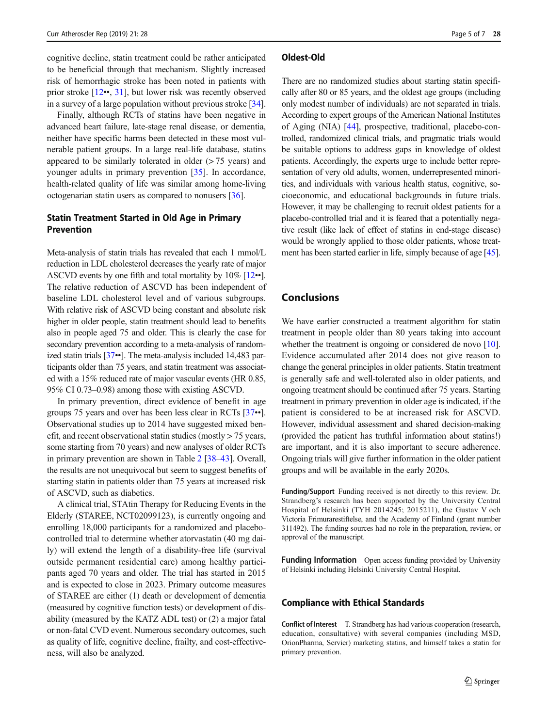cognitive decline, statin treatment could be rather anticipated to be beneficial through that mechanism. Slightly increased risk of hemorrhagic stroke has been noted in patients with prior stroke [[12](#page-5-0)••, [31\]](#page-6-0), but lower risk was recently observed in a survey of a large population without previous stroke [[34\]](#page-6-0).

Finally, although RCTs of statins have been negative in advanced heart failure, late-stage renal disease, or dementia, neither have specific harms been detected in these most vulnerable patient groups. In a large real-life database, statins appeared to be similarly tolerated in older  $(> 75$  years) and younger adults in primary prevention [[35\]](#page-6-0). In accordance, health-related quality of life was similar among home-living octogenarian statin users as compared to nonusers [\[36](#page-6-0)].

## Statin Treatment Started in Old Age in Primary Prevention

Meta-analysis of statin trials has revealed that each 1 mmol/L reduction in LDL cholesterol decreases the yearly rate of major ASCVD events by one fifth and total mortality by 10% [[12](#page-5-0)••]. The relative reduction of ASCVD has been independent of baseline LDL cholesterol level and of various subgroups. With relative risk of ASCVD being constant and absolute risk higher in older people, statin treatment should lead to benefits also in people aged 75 and older. This is clearly the case for secondary prevention according to a meta-analysis of randomized statin trials [\[37](#page-6-0)••]. The meta-analysis included 14,483 participants older than 75 years, and statin treatment was associated with a 15% reduced rate of major vascular events (HR 0.85, 95% CI 0.73–0.98) among those with existing ASCVD.

In primary prevention, direct evidence of benefit in age groups 75 years and over has been less clear in RCTs [\[37](#page-6-0)••]. Observational studies up to 2014 have suggested mixed benefit, and recent observational statin studies (mostly > 75 years, some starting from 70 years) and new analyses of older RCTs in primary prevention are shown in Table [2](#page-3-0) [\[38](#page-6-0)–[43\]](#page-6-0). Overall, the results are not unequivocal but seem to suggest benefits of starting statin in patients older than 75 years at increased risk of ASCVD, such as diabetics.

A clinical trial, STAtin Therapy for Reducing Events in the Elderly (STAREE, NCT02099123), is currently ongoing and enrolling 18,000 participants for a randomized and placebocontrolled trial to determine whether atorvastatin (40 mg daily) will extend the length of a disability-free life (survival outside permanent residential care) among healthy participants aged 70 years and older. The trial has started in 2015 and is expected to close in 2023. Primary outcome measures of STAREE are either (1) death or development of dementia (measured by cognitive function tests) or development of disability (measured by the KATZ ADL test) or (2) a major fatal or non-fatal CVD event. Numerous secondary outcomes, such as quality of life, cognitive decline, frailty, and cost-effectiveness, will also be analyzed.

#### Oldest-Old

There are no randomized studies about starting statin specifically after 80 or 85 years, and the oldest age groups (including only modest number of individuals) are not separated in trials. According to expert groups of the American National Institutes of Aging (NIA) [\[44\]](#page-6-0), prospective, traditional, placebo-controlled, randomized clinical trials, and pragmatic trials would be suitable options to address gaps in knowledge of oldest patients. Accordingly, the experts urge to include better representation of very old adults, women, underrepresented minorities, and individuals with various health status, cognitive, socioeconomic, and educational backgrounds in future trials. However, it may be challenging to recruit oldest patients for a placebo-controlled trial and it is feared that a potentially negative result (like lack of effect of statins in end-stage disease) would be wrongly applied to those older patients, whose treatment has been started earlier in life, simply because of age [\[45\]](#page-6-0).

## **Conclusions**

We have earlier constructed a treatment algorithm for statin treatment in people older than 80 years taking into account whether the treatment is ongoing or considered de novo [\[10\]](#page-5-0). Evidence accumulated after 2014 does not give reason to change the general principles in older patients. Statin treatment is generally safe and well-tolerated also in older patients, and ongoing treatment should be continued after 75 years. Starting treatment in primary prevention in older age is indicated, if the patient is considered to be at increased risk for ASCVD. However, individual assessment and shared decision-making (provided the patient has truthful information about statins!) are important, and it is also important to secure adherence. Ongoing trials will give further information in the older patient groups and will be available in the early 2020s.

Funding/Support Funding received is not directly to this review. Dr. Strandberg's research has been supported by the University Central Hospital of Helsinki (TYH 2014245; 2015211), the Gustav V och Victoria Frimurarestiftelse, and the Academy of Finland (grant number 311492). The funding sources had no role in the preparation, review, or approval of the manuscript.

Funding Information Open access funding provided by University of Helsinki including Helsinki University Central Hospital.

## Compliance with Ethical Standards

Conflict of Interest T. Strandberg has had various cooperation (research, education, consultative) with several companies (including MSD, OrionPharma, Servier) marketing statins, and himself takes a statin for primary prevention.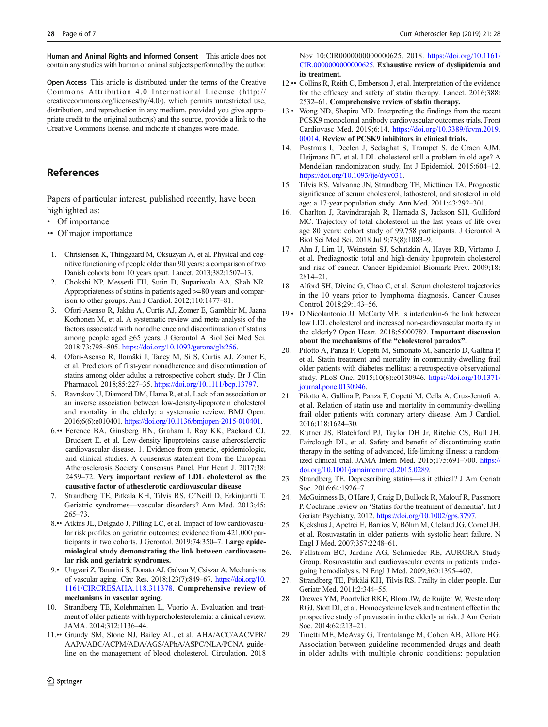<span id="page-5-0"></span>Human and Animal Rights and Informed Consent This article does not contain any studies with human or animal subjects performed by the author.

Open Access This article is distributed under the terms of the Creative Commons Attribution 4.0 International License (http:// creativecommons.org/licenses/by/4.0/), which permits unrestricted use, distribution, and reproduction in any medium, provided you give appropriate credit to the original author(s) and the source, provide a link to the Creative Commons license, and indicate if changes were made.

## References

Papers of particular interest, published recently, have been highlighted as:

- Of importance
- •• Of major importance
- 1. Christensen K, Thinggaard M, Oksuzyan A, et al. Physical and cognitive functioning of people older than 90 years: a comparison of two Danish cohorts born 10 years apart. Lancet. 2013;382:1507–13.
- 2. Chokshi NP, Messerli FH, Sutin D, Supariwala AA, Shah NR. Appropriateness of statins in patients aged >=80 years and comparison to other groups. Am J Cardiol. 2012;110:1477–81.
- 3. Ofori-Asenso R, Jakhu A, Curtis AJ, Zomer E, Gambhir M, Jaana Korhonen M, et al. A systematic review and meta-analysis of the factors associated with nonadherence and discontinuation of statins among people aged ≥65 years. J Gerontol A Biol Sci Med Sci. 2018;73:798–805. [https://doi.org/10.1093/gerona/glx256.](https://doi.org/10.1093/gerona/glx256)
- 4. Ofori-Asenso R, Ilomäki J, Tacey M, Si S, Curtis AJ, Zomer E, et al. Predictors of first-year nonadherence and discontinuation of statins among older adults: a retrospective cohort study. Br J Clin Pharmacol. 2018;85:227–35. <https://doi.org/10.1111/bcp.13797>.
- 5. Ravnskov U, Diamond DM, Hama R, et al. Lack of an association or an inverse association between low-density-lipoprotein cholesterol and mortality in the elderly: a systematic review. BMJ Open. 2016;6(6):e010401. <https://doi.org/10.1136/bmjopen-2015-010401>.
- 6.•• Ference BA, Ginsberg HN, Graham I, Ray KK, Packard CJ, Bruckert E, et al. Low-density lipoproteins cause atherosclerotic cardiovascular disease. 1. Evidence from genetic, epidemiologic, and clinical studies. A consensus statement from the European Atherosclerosis Society Consensus Panel. Eur Heart J. 2017;38: 2459–72. Very important review of LDL cholesterol as the causative factor of athesclerotic cardiovascular disease.
- 7. Strandberg TE, Pitkala KH, Tilvis RS, O'Neill D, Erkinjuntti T. Geriatric syndromes—vascular disorders? Ann Med. 2013;45: 265–73.
- 8.•• Atkins JL, Delgado J, Pilling LC, et al. Impact of low cardiovascular risk profiles on geriatric outcomes: evidence from 421,000 participants in two cohorts. J Gerontol. 2019;74:350–7. Large epidemiological study demonstrating the link between cardiovascular risk and geriatric syndromes.
- 9.• Ungvari Z, Tarantini S, Donato AJ, Galvan V, Csiszar A. Mechanisms of vascular aging. Circ Res. 2018;123(7):849–67. [https://doi.org/10.](https://doi.org/10.1161/CIRCRESAHA.118.311378) [1161/CIRCRESAHA.118.311378.](https://doi.org/10.1161/CIRCRESAHA.118.311378) Comprehensive review of mechanisms in vascular ageing.
- 10. Strandberg TE, Kolehmainen L, Vuorio A. Evaluation and treatment of older patients with hypercholesterolemia: a clinical review. JAMA. 2014;312:1136–44.
- 11.•• Grundy SM, Stone NJ, Bailey AL, et al. AHA/ACC/AACVPR/ AAPA/ABC/ACPM/ADA/AGS/APhA/ASPC/NLA/PCNA guideline on the management of blood cholesterol. Circulation. 2018

[CIR.0000000000000625.](https://doi.org/10.1161/CIR.0000000000000625) Exhaustive review of dyslipidemia and its treatment.

12.•• Collins R, Reith C, Emberson J, et al. Interpretation of the evidence for the efficacy and safety of statin therapy. Lancet. 2016;388: 2532–61. Comprehensive review of statin therapy.

Nov 10:CIR0000000000000625. 2018. [https://doi.org/10.1161/](https://doi.org/10.1161/CIR.0000000000000625)

- 13.• Wong ND, Shapiro MD. Interpreting the findings from the recent PCSK9 monoclonal antibody cardiovascular outcomes trials. Front Cardiovasc Med. 2019;6:14. [https://doi.org/10.3389/fcvm.2019.](https://doi.org/10.3389/fcvm.2019.00014) [00014](https://doi.org/10.3389/fcvm.2019.00014). Review of PCSK9 inhibitors in clinical trials.
- 14. Postmus I, Deelen J, Sedaghat S, Trompet S, de Craen AJM, Heijmans BT, et al. LDL cholesterol still a problem in old age? A Mendelian randomization study. Int J Epidemiol. 2015:604–12. [https://doi.org/10.1093/ije/dyv031.](https://doi.org/10.1093/ije/dyv031)
- 15. Tilvis RS, Valvanne JN, Strandberg TE, Miettinen TA. Prognostic significance of serum cholesterol, lathosterol, and sitosterol in old age; a 17-year population study. Ann Med. 2011;43:292–301.
- 16. Charlton J, Ravindrarajah R, Hamada S, Jackson SH, Gulliford MC. Trajectory of total cholesterol in the last years of life over age 80 years: cohort study of 99,758 participants. J Gerontol A Biol Sci Med Sci. 2018 Jul 9;73(8):1083–9.
- 17. Ahn J, Lim U, Weinstein SJ, Schatzkin A, Hayes RB, Virtamo J, et al. Prediagnostic total and high-density lipoprotein cholesterol and risk of cancer. Cancer Epidemiol Biomark Prev. 2009;18: 2814–21.
- 18. Alford SH, Divine G, Chao C, et al. Serum cholesterol trajectories in the 10 years prior to lymphoma diagnosis. Cancer Causes Control. 2018;29:143–56.
- 19.• DiNicolantonio JJ, McCarty MF. Is interleukin-6 the link between low LDL cholesterol and increased non-cardiovascular mortality in the elderly? Open Heart. 2018;5:000789. Important discussion about the mechanisms of the "cholesterol paradox".
- 20. Pilotto A, Panza F, Copetti M, Simonato M, Sancarlo D, Gallina P, et al. Statin treatment and mortality in community-dwelling frail older patients with diabetes mellitus: a retrospective observational study. PLoS One. 2015;10(6):e0130946. [https://doi.org/10.1371/](https://doi.org/10.1371/journal.pone.0130946) [journal.pone.0130946](https://doi.org/10.1371/journal.pone.0130946).
- 21. Pilotto A, Gallina P, Panza F, Copetti M, Cella A, Cruz-Jentoft A, et al. Relation of statin use and mortality in community-dwelling frail older patients with coronary artery disease. Am J Cardiol. 2016;118:1624–30.
- 22. Kutner JS, Blatchford PJ, Taylor DH Jr, Ritchie CS, Bull JH, Fairclough DL, et al. Safety and benefit of discontinuing statin therapy in the setting of advanced, life-limiting illness: a randomized clinical trial. JAMA Intern Med. 2015;175:691–700. [https://](https://doi.org/10.1001/jamainternmed.2015.0289) [doi.org/10.1001/jamainternmed.2015.0289](https://doi.org/10.1001/jamainternmed.2015.0289).
- 23. Strandberg TE. Deprescribing statins—is it ethical? J Am Geriatr Soc. 2016;64:1926–7.
- 24. McGuinness B, O'Hare J, Craig D, Bullock R, Malouf R, Passmore P. Cochrane review on 'Statins for the treatment of dementia'. Int J Geriatr Psychiatry. 2012. <https://doi.org/10.1002/gps.3797>.
- 25. Kjekshus J, Apetrei E, Barrios V, Böhm M, Cleland JG, Cornel JH, et al. Rosuvastatin in older patients with systolic heart failure. N Engl J Med. 2007;357:2248–61.
- 26. Fellstrom BC, Jardine AG, Schmieder RE, AURORA Study Group. Rosuvastatin and cardiovascular events in patients undergoing hemodialysis. N Engl J Med. 2009;360:1395–407.
- 27. Strandberg TE, Pitkälä KH, Tilvis RS. Frailty in older people. Eur Geriatr Med. 2011;2:344–55.
- 28. Drewes YM, Poortvliet RKE, Blom JW, de Ruijter W, Westendorp RGJ, Stott DJ, et al. Homocysteine levels and treatment effect in the prospective study of pravastatin in the elderly at risk. J Am Geriatr Soc. 2014;62:213–21.
- 29. Tinetti ME, McAvay G, Trentalange M, Cohen AB, Allore HG. Association between guideline recommended drugs and death in older adults with multiple chronic conditions: population